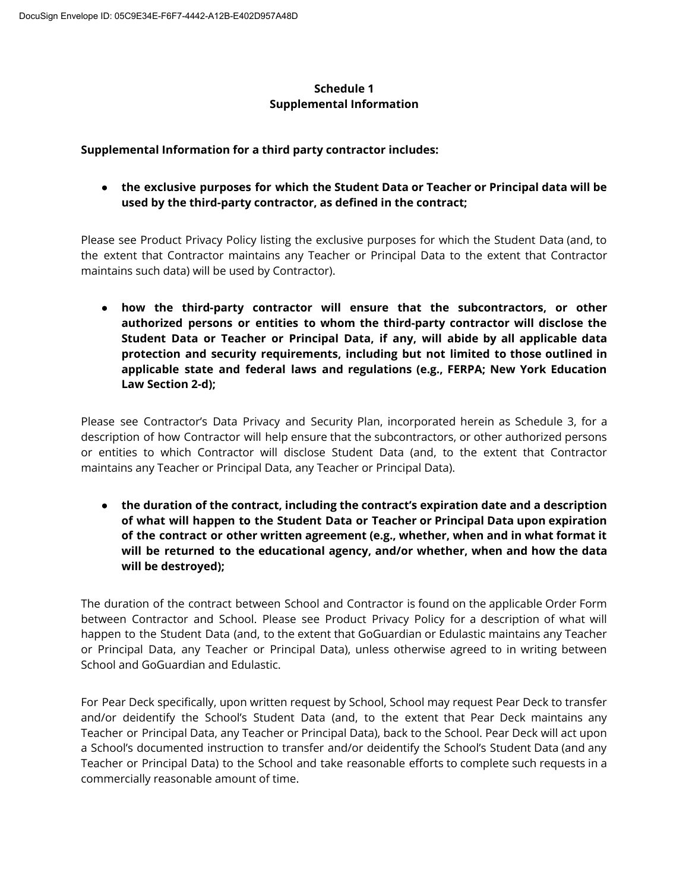### **Schedule 1 Supplemental Information**

#### **Supplemental Information for a third party contractor includes:**

**● the exclusive purposes for which the Student Data or Teacher or Principal data will be used by the third-party contractor, as defined in the contract;**

Please see Product Privacy Policy listing the exclusive purposes for which the Student Data (and, to the extent that Contractor maintains any Teacher or Principal Data to the extent that Contractor maintains such data) will be used by Contractor).

**● how the third-party contractor will ensure that the subcontractors, or other authorized persons or entities to whom the third-party contractor will disclose the Student Data or Teacher or Principal Data, if any, will abide by all applicable data protection and security requirements, including but not limited to those outlined in applicable state and federal laws and regulations (e.g., FERPA; New York Education Law Section 2-d);**

Please see Contractor's Data Privacy and Security Plan, incorporated herein as Schedule 3, for a description of how Contractor will help ensure that the subcontractors, or other authorized persons or entities to which Contractor will disclose Student Data (and, to the extent that Contractor maintains any Teacher or Principal Data, any Teacher or Principal Data).

**● the duration of the contract, including the contract's expiration date and a description of what will happen to the Student Data or Teacher or Principal Data upon expiration of the contract or other written agreement (e.g., whether, when and in what format it will be returned to the educational agency, and/or whether, when and how the data will be destroyed);**

The duration of the contract between School and Contractor is found on the applicable Order Form between Contractor and School. Please see Product Privacy Policy for a description of what will happen to the Student Data (and, to the extent that GoGuardian or Edulastic maintains any Teacher or Principal Data, any Teacher or Principal Data), unless otherwise agreed to in writing between School and GoGuardian and Edulastic.

For Pear Deck specifically, upon written request by School, School may request Pear Deck to transfer and/or deidentify the School's Student Data (and, to the extent that Pear Deck maintains any Teacher or Principal Data, any Teacher or Principal Data), back to the School. Pear Deck will act upon a School's documented instruction to transfer and/or deidentify the School's Student Data (and any Teacher or Principal Data) to the School and take reasonable efforts to complete such requests in a commercially reasonable amount of time.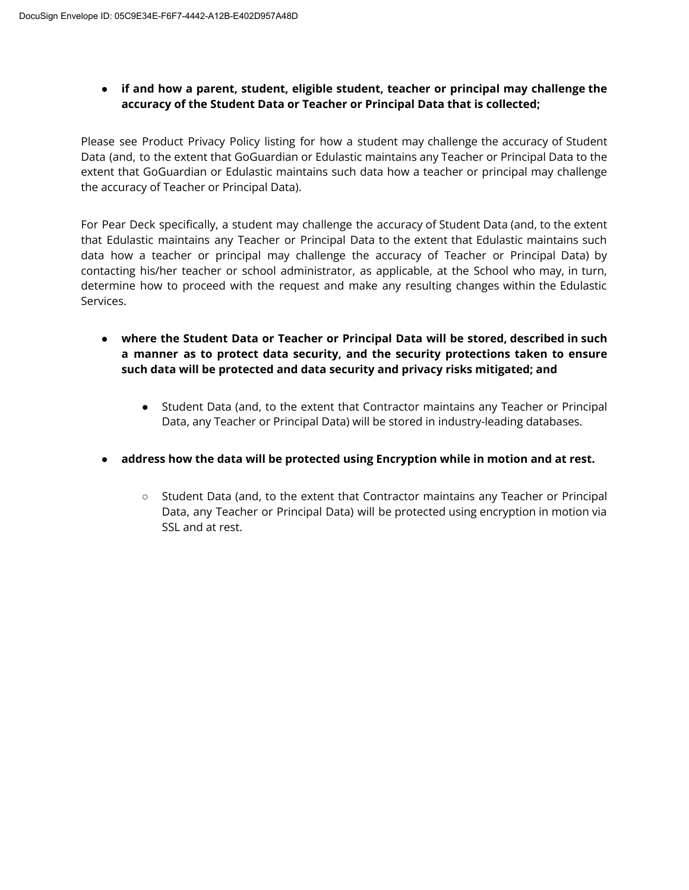## **● if and how a parent, student, eligible student, teacher or principal may challenge the accuracy of the Student Data or Teacher or Principal Data that is collected;**

Please see Product Privacy Policy listing for how a student may challenge the accuracy of Student Data (and, to the extent that GoGuardian or Edulastic maintains any Teacher or Principal Data to the extent that GoGuardian or Edulastic maintains such data how a teacher or principal may challenge the accuracy of Teacher or Principal Data).

For Pear Deck specifically, a student may challenge the accuracy of Student Data (and, to the extent that Edulastic maintains any Teacher or Principal Data to the extent that Edulastic maintains such data how a teacher or principal may challenge the accuracy of Teacher or Principal Data) by contacting his/her teacher or school administrator, as applicable, at the School who may, in turn, determine how to proceed with the request and make any resulting changes within the Edulastic Services.

- **● where the Student Data or Teacher or Principal Data will be stored, described in such a manner as to protect data security, and the security protections taken to ensure such data will be protected and data security and privacy risks mitigated; and**
	- Student Data (and, to the extent that Contractor maintains any Teacher or Principal Data, any Teacher or Principal Data) will be stored in industry-leading databases.
- **● address how the data will be protected using Encryption while in motion and at rest.**
	- Student Data (and, to the extent that Contractor maintains any Teacher or Principal Data, any Teacher or Principal Data) will be protected using encryption in motion via SSL and at rest.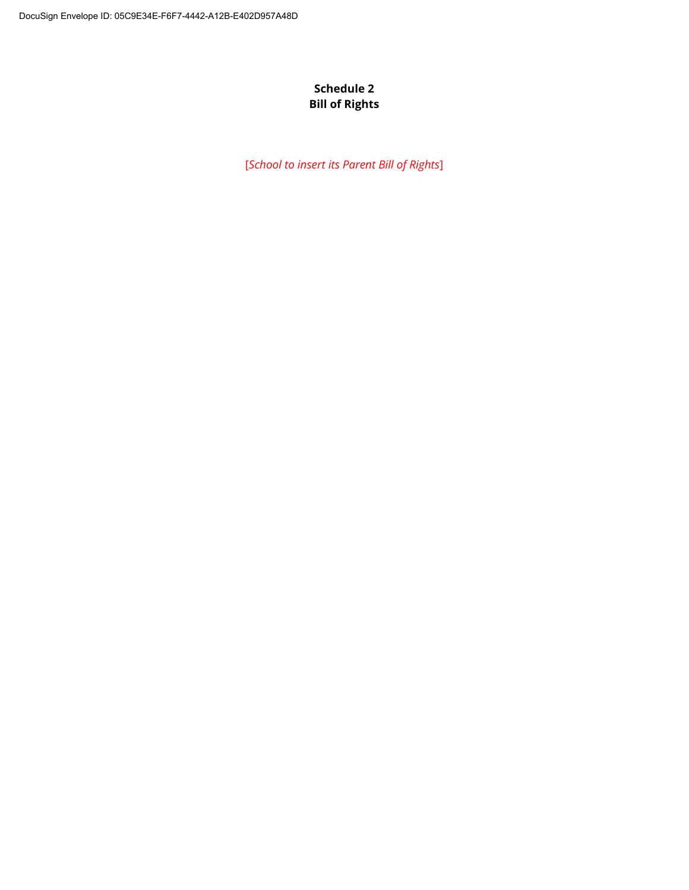# **Schedule 2 Bill of Rights**

[*School to insert its Parent Bill of Rights*]